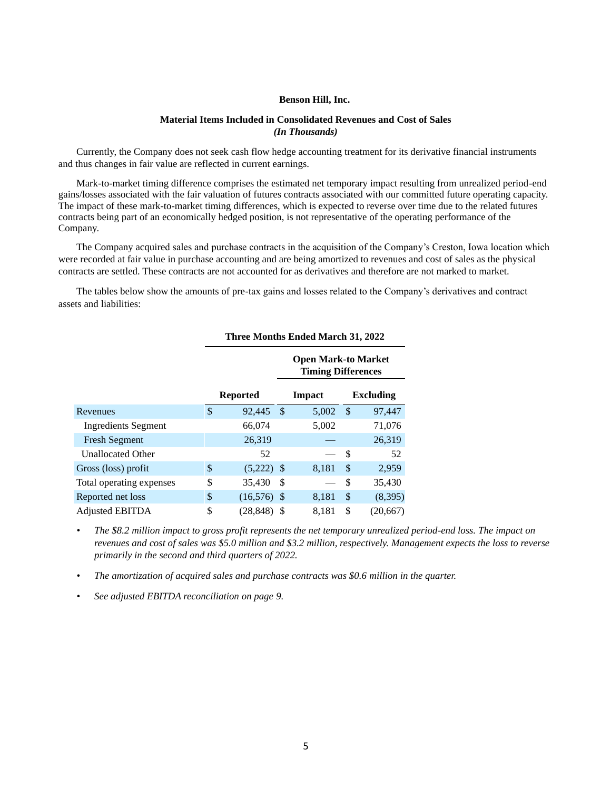#### **Benson Hill, Inc.**

### **Material Items Included in Consolidated Revenues and Cost of Sales** *(In Thousands)*

Currently, the Company does not seek cash flow hedge accounting treatment for its derivative financial instruments and thus changes in fair value are reflected in current earnings.

Mark-to-market timing difference comprises the estimated net temporary impact resulting from unrealized period-end gains/losses associated with the fair valuation of futures contracts associated with our committed future operating capacity. The impact of these mark-to-market timing differences, which is expected to reverse over time due to the related futures contracts being part of an economically hedged position, is not representative of the operating performance of the Company.

The Company acquired sales and purchase contracts in the acquisition of the Company's Creston, Iowa location which were recorded at fair value in purchase accounting and are being amortized to revenues and cost of sales as the physical contracts are settled. These contracts are not accounted for as derivatives and therefore are not marked to market.

The tables below show the amounts of pre-tax gains and losses related to the Company's derivatives and contract assets and liabilities:

|                            | <b>Open Mark-to Market</b><br><b>Timing Differences</b> |               |               |    |                  |
|----------------------------|---------------------------------------------------------|---------------|---------------|----|------------------|
|                            | <b>Reported</b>                                         |               | <b>Impact</b> |    | <b>Excluding</b> |
| Revenues                   | \$<br>92,445                                            | <sup>\$</sup> | 5.002         | \$ | 97,447           |
| <b>Ingredients Segment</b> | 66,074                                                  |               | 5,002         |    | 71,076           |
| <b>Fresh Segment</b>       | 26,319                                                  |               |               |    | 26,319           |
| <b>Unallocated Other</b>   | 52                                                      |               |               | \$ | 52               |
| Gross (loss) profit        | \$<br>$(5,222)$ \$                                      |               | 8,181         | \$ | 2,959            |
| Total operating expenses   | \$<br>35,430                                            | S             |               | \$ | 35,430           |
| Reported net loss          | \$<br>(16,576)                                          | <sup>\$</sup> | 8,181         | \$ | (8,395)          |
| <b>Adjusted EBITDA</b>     | \$<br>(28.848)                                          |               | 8.181         | \$ | (20.667)         |

#### **Three Months Ended March 31, 2022**

*• The \$8.2 million impact to gross profit represents the net temporary unrealized period-end loss. The impact on revenues and cost of sales was \$5.0 million and \$3.2 million, respectively. Management expects the loss to reverse primarily in the second and third quarters of 2022.* 

*• The amortization of acquired sales and purchase contracts was \$0.6 million in the quarter.*

*• See adjusted EBITDA reconciliation on page 9.*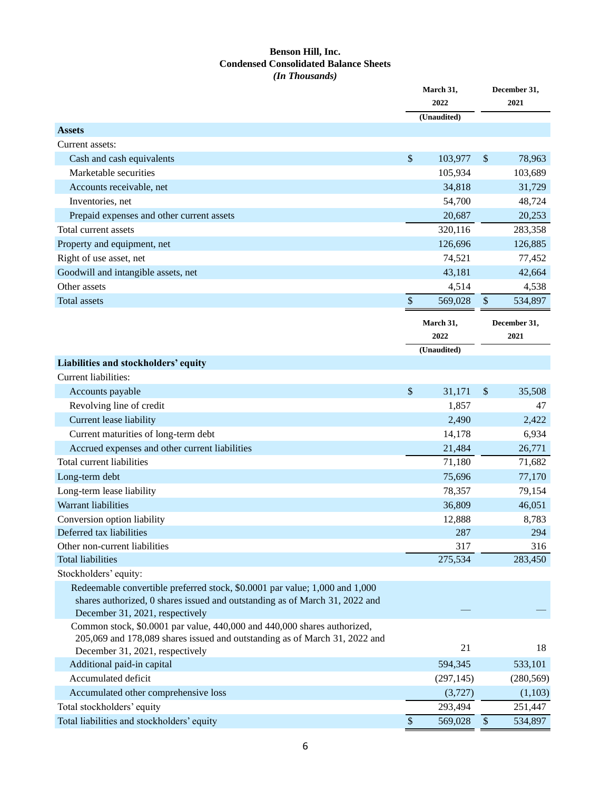### **Benson Hill, Inc. Condensed Consolidated Balance Sheets** *(In Thousands)*

|                                                                                                             | March 31,<br>2022<br>(Unaudited) |             | December 31,<br>2021 |              |
|-------------------------------------------------------------------------------------------------------------|----------------------------------|-------------|----------------------|--------------|
|                                                                                                             |                                  |             |                      |              |
| <b>Assets</b>                                                                                               |                                  |             |                      |              |
| Current assets:                                                                                             |                                  |             |                      |              |
| Cash and cash equivalents                                                                                   | $\boldsymbol{\mathsf{S}}$        | 103,977     | \$                   | 78,963       |
| Marketable securities                                                                                       |                                  | 105,934     |                      | 103,689      |
| Accounts receivable, net                                                                                    |                                  | 34,818      |                      | 31,729       |
| Inventories, net                                                                                            |                                  | 54,700      |                      | 48,724       |
| Prepaid expenses and other current assets                                                                   |                                  | 20,687      |                      | 20,253       |
| Total current assets                                                                                        |                                  | 320,116     |                      | 283,358      |
| Property and equipment, net                                                                                 |                                  | 126,696     |                      | 126,885      |
| Right of use asset, net                                                                                     |                                  | 74,521      |                      | 77,452       |
| Goodwill and intangible assets, net                                                                         |                                  | 43,181      |                      | 42,664       |
| Other assets                                                                                                |                                  | 4,514       |                      | 4,538        |
| <b>Total assets</b>                                                                                         | $\boldsymbol{\mathsf{S}}$        | 569,028     | \$                   | 534,897      |
|                                                                                                             |                                  |             |                      |              |
|                                                                                                             |                                  | March 31,   |                      | December 31, |
|                                                                                                             |                                  | 2022        |                      | 2021         |
|                                                                                                             |                                  | (Unaudited) |                      |              |
| Liabilities and stockholders' equity                                                                        |                                  |             |                      |              |
| Current liabilities:                                                                                        |                                  |             |                      |              |
| Accounts payable                                                                                            | \$                               | 31,171      | \$                   | 35,508       |
| Revolving line of credit                                                                                    |                                  | 1,857       |                      | 47           |
| Current lease liability                                                                                     |                                  | 2,490       |                      | 2,422        |
| Current maturities of long-term debt                                                                        |                                  | 14,178      |                      | 6,934        |
| Accrued expenses and other current liabilities                                                              |                                  | 21,484      |                      | 26,771       |
| Total current liabilities                                                                                   |                                  | 71,180      |                      | 71,682       |
| Long-term debt                                                                                              |                                  | 75,696      |                      | 77,170       |
| Long-term lease liability                                                                                   |                                  | 78,357      |                      | 79,154       |
| Warrant liabilities                                                                                         |                                  | 36,809      |                      | 46,051       |
| Conversion option liability                                                                                 |                                  | 12,888      |                      | 8,783        |
| Deferred tax liabilities                                                                                    |                                  | 287         |                      | 294          |
| Other non-current liabilities                                                                               |                                  | 317         |                      | 316          |
| <b>Total liabilities</b>                                                                                    |                                  | 275,534     |                      | 283,450      |
| Stockholders' equity:                                                                                       |                                  |             |                      |              |
| Redeemable convertible preferred stock, \$0.0001 par value; 1,000 and 1,000                                 |                                  |             |                      |              |
| shares authorized, 0 shares issued and outstanding as of March 31, 2022 and                                 |                                  |             |                      |              |
| December 31, 2021, respectively<br>Common stock, \$0.0001 par value, 440,000 and 440,000 shares authorized, |                                  |             |                      |              |
| 205,069 and 178,089 shares issued and outstanding as of March 31, 2022 and                                  |                                  |             |                      |              |
| December 31, 2021, respectively                                                                             |                                  | 21          |                      | 18           |
| Additional paid-in capital                                                                                  |                                  | 594,345     |                      | 533,101      |
| Accumulated deficit                                                                                         |                                  | (297, 145)  |                      | (280, 569)   |
| Accumulated other comprehensive loss                                                                        |                                  | (3,727)     |                      | (1,103)      |
| Total stockholders' equity                                                                                  |                                  | 293,494     |                      | 251,447      |
| Total liabilities and stockholders' equity                                                                  | $\sqrt$                          | 569,028     | $\$\,$               | 534,897      |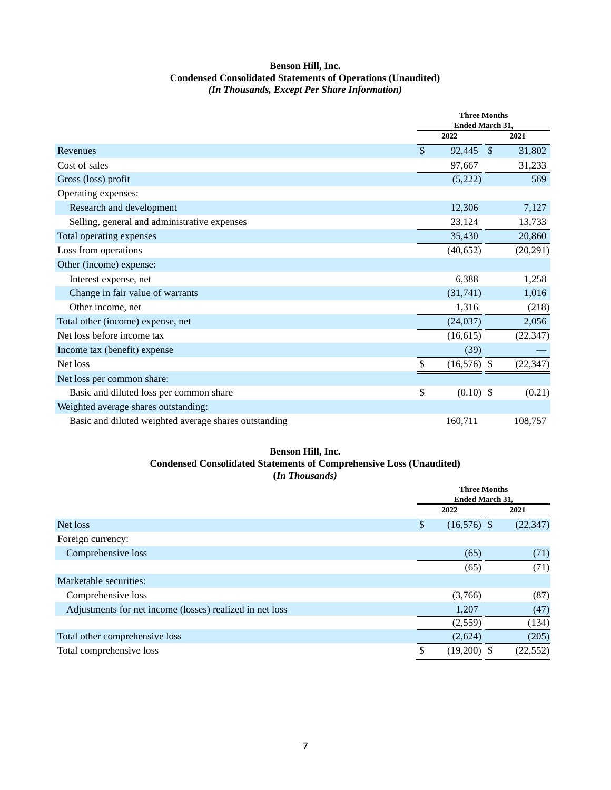# **Benson Hill, Inc. Condensed Consolidated Statements of Operations (Unaudited)** *(In Thousands, Except Per Share Information)*

|                                                       | <b>Three Months</b><br><b>Ended March 31.</b> |               |           |
|-------------------------------------------------------|-----------------------------------------------|---------------|-----------|
|                                                       | 2022                                          |               | 2021      |
| Revenues                                              | \$<br>92,445                                  | $\mathcal{S}$ | 31,802    |
| Cost of sales                                         | 97,667                                        |               | 31,233    |
| Gross (loss) profit                                   | (5,222)                                       |               | 569       |
| Operating expenses:                                   |                                               |               |           |
| Research and development                              | 12,306                                        |               | 7,127     |
| Selling, general and administrative expenses          | 23,124                                        |               | 13,733    |
| Total operating expenses                              | 35,430                                        |               | 20,860    |
| Loss from operations                                  | (40,652)                                      |               | (20, 291) |
| Other (income) expense:                               |                                               |               |           |
| Interest expense, net                                 | 6,388                                         |               | 1,258     |
| Change in fair value of warrants                      | (31,741)                                      |               | 1,016     |
| Other income, net                                     | 1,316                                         |               | (218)     |
| Total other (income) expense, net                     | (24,037)                                      |               | 2,056     |
| Net loss before income tax                            | (16,615)                                      |               | (22, 347) |
| Income tax (benefit) expense                          | (39)                                          |               |           |
| Net loss                                              | \$<br>$(16,576)$ \$                           |               | (22, 347) |
| Net loss per common share:                            |                                               |               |           |
| Basic and diluted loss per common share               | \$<br>$(0.10)$ \$                             |               | (0.21)    |
| Weighted average shares outstanding:                  |                                               |               |           |
| Basic and diluted weighted average shares outstanding | 160,711                                       |               | 108,757   |

## **Benson Hill, Inc. Condensed Consolidated Statements of Comprehensive Loss (Unaudited) (***In Thousands)*

|                                                          |     | <b>Three Months</b><br><b>Ended March 31,</b> |           |  |
|----------------------------------------------------------|-----|-----------------------------------------------|-----------|--|
|                                                          |     | 2022                                          | 2021      |  |
| Net loss                                                 | \$. | $(16,576)$ \$                                 | (22, 347) |  |
| Foreign currency:                                        |     |                                               |           |  |
| Comprehensive loss                                       |     | (65)                                          | (71)      |  |
|                                                          |     | (65)                                          | (71)      |  |
| Marketable securities:                                   |     |                                               |           |  |
| Comprehensive loss                                       |     | (3,766)                                       | (87)      |  |
| Adjustments for net income (losses) realized in net loss |     | 1,207                                         | (47)      |  |
|                                                          |     | (2,559)                                       | (134)     |  |
| Total other comprehensive loss                           |     | (2,624)                                       | (205)     |  |
| Total comprehensive loss                                 | S   | $(19,200)$ \$                                 | (22, 552) |  |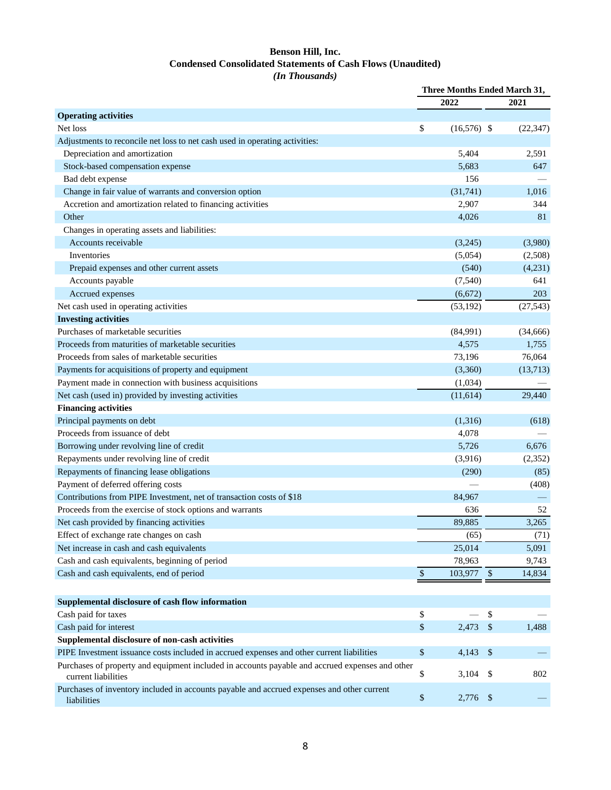# **Benson Hill, Inc. Condensed Consolidated Statements of Cash Flows (Unaudited)** *(In Thousands)*

|                                                                                                                        | Three Months Ended March 31, |               |         |           |
|------------------------------------------------------------------------------------------------------------------------|------------------------------|---------------|---------|-----------|
|                                                                                                                        |                              | 2022          |         | 2021      |
| <b>Operating activities</b>                                                                                            |                              |               |         |           |
| Net loss                                                                                                               | \$                           | $(16,576)$ \$ |         | (22, 347) |
| Adjustments to reconcile net loss to net cash used in operating activities:                                            |                              |               |         |           |
| Depreciation and amortization                                                                                          |                              | 5,404         |         | 2,591     |
| Stock-based compensation expense                                                                                       |                              | 5,683         |         | 647       |
| Bad debt expense                                                                                                       |                              | 156           |         |           |
| Change in fair value of warrants and conversion option                                                                 |                              | (31,741)      |         | 1,016     |
| Accretion and amortization related to financing activities                                                             |                              | 2,907         |         | 344       |
| Other                                                                                                                  |                              | 4,026         |         | 81        |
| Changes in operating assets and liabilities:                                                                           |                              |               |         |           |
| Accounts receivable                                                                                                    |                              | (3,245)       |         | (3,980)   |
| Inventories                                                                                                            |                              | (5,054)       |         | (2,508)   |
| Prepaid expenses and other current assets                                                                              |                              | (540)         |         | (4,231)   |
| Accounts payable                                                                                                       |                              | (7, 540)      |         | 641       |
| Accrued expenses                                                                                                       |                              | (6,672)       |         | 203       |
| Net cash used in operating activities                                                                                  |                              | (53, 192)     |         | (27, 543) |
| <b>Investing activities</b>                                                                                            |                              |               |         |           |
| Purchases of marketable securities                                                                                     |                              | (84,991)      |         | (34,666)  |
| Proceeds from maturities of marketable securities                                                                      |                              | 4,575         |         | 1,755     |
| Proceeds from sales of marketable securities                                                                           |                              | 73,196        |         | 76,064    |
| Payments for acquisitions of property and equipment                                                                    |                              | (3,360)       |         | (13,713)  |
| Payment made in connection with business acquisitions                                                                  |                              | (1,034)       |         |           |
| Net cash (used in) provided by investing activities                                                                    |                              | (11,614)      |         | 29,440    |
| <b>Financing activities</b>                                                                                            |                              |               |         |           |
| Principal payments on debt                                                                                             |                              | (1,316)       |         | (618)     |
| Proceeds from issuance of debt                                                                                         |                              | 4,078         |         |           |
| Borrowing under revolving line of credit                                                                               |                              | 5,726         |         | 6,676     |
| Repayments under revolving line of credit                                                                              |                              | (3,916)       |         | (2,352)   |
| Repayments of financing lease obligations                                                                              |                              | (290)         |         | (85)      |
| Payment of deferred offering costs                                                                                     |                              |               |         | (408)     |
| Contributions from PIPE Investment, net of transaction costs of \$18                                                   |                              | 84,967        |         |           |
| Proceeds from the exercise of stock options and warrants                                                               |                              | 636           |         | 52        |
| Net cash provided by financing activities                                                                              |                              | 89.885        |         | 3,265     |
| Effect of exchange rate changes on cash                                                                                |                              | (65)          |         | (71)      |
| Net increase in cash and cash equivalents                                                                              |                              | 25,014        |         | 5,091     |
| Cash and cash equivalents, beginning of period                                                                         |                              | 78,963        |         | 9,743     |
| Cash and cash equivalents, end of period                                                                               | $\$\,$                       | 103,977 \$    |         | 14,834    |
|                                                                                                                        |                              |               |         |           |
|                                                                                                                        |                              |               |         |           |
| Supplemental disclosure of cash flow information                                                                       |                              |               |         |           |
| Cash paid for taxes                                                                                                    | \$                           |               | \$      |           |
| Cash paid for interest                                                                                                 | \$                           | $2,473$ \$    |         | 1,488     |
| Supplemental disclosure of non-cash activities                                                                         |                              |               |         |           |
| PIPE Investment issuance costs included in accrued expenses and other current liabilities                              | \$                           | 4,143         | $\sqrt$ |           |
| Purchases of property and equipment included in accounts payable and accrued expenses and other<br>current liabilities | \$                           | 3,104         | \$      | 802       |
| Purchases of inventory included in accounts payable and accrued expenses and other current<br>liabilities              | $\$$                         | 2,776         | \$      |           |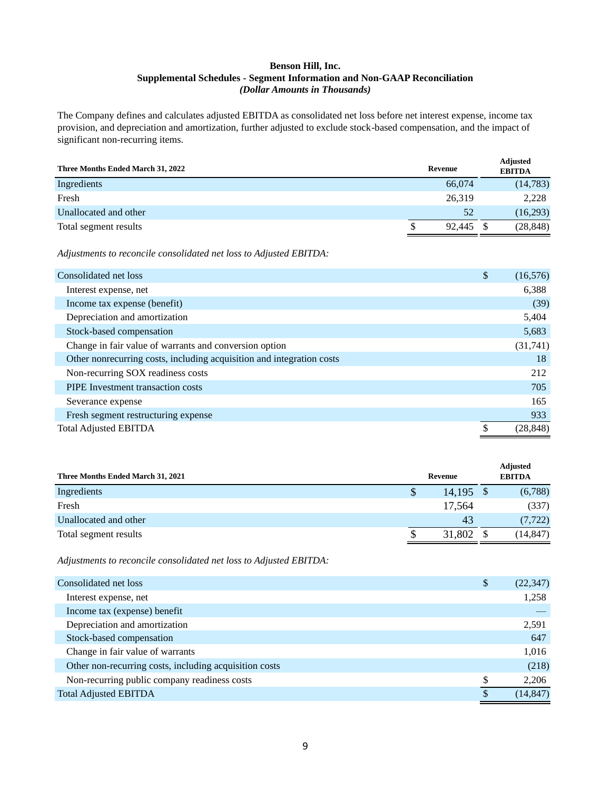## **Benson Hill, Inc. Supplemental Schedules - Segment Information and Non-GAAP Reconciliation** *(Dollar Amounts in Thousands)*

The Company defines and calculates adjusted EBITDA as consolidated net loss before net interest expense, income tax provision, and depreciation and amortization, further adjusted to exclude stock-based compensation, and the impact of significant non-recurring items.

| Three Months Ended March 31, 2022 | Revenue     | <b>Adjusted</b><br><b>EBITDA</b> |
|-----------------------------------|-------------|----------------------------------|
| Ingredients                       | 66,074      | (14, 783)                        |
| Fresh                             | 26,319      | 2,228                            |
| Unallocated and other             | 52          | (16,293)                         |
| Total segment results             | 92.445<br>S | (28, 848)                        |

*Adjustments to reconcile consolidated net loss to Adjusted EBITDA:*

| Consolidated net loss                                                 | \$<br>(16, 576) |
|-----------------------------------------------------------------------|-----------------|
| Interest expense, net                                                 | 6,388           |
| Income tax expense (benefit)                                          | (39)            |
| Depreciation and amortization                                         | 5,404           |
| Stock-based compensation                                              | 5,683           |
| Change in fair value of warrants and conversion option                | (31, 741)       |
| Other nonrecurring costs, including acquisition and integration costs | 18              |
| Non-recurring SOX readiness costs                                     | 212             |
| <b>PIPE</b> Investment transaction costs                              | 705             |
| Severance expense                                                     | 165             |
| Fresh segment restructuring expense                                   | 933             |
| <b>Total Adjusted EBITDA</b>                                          | (28, 848)       |

| Three Months Ended March 31, 2021 | Revenue     | <b>Adjusted</b><br><b>EBITDA</b> |
|-----------------------------------|-------------|----------------------------------|
| Ingredients                       | $14,195$ \$ | (6,788)                          |
| Fresh                             | 17.564      | (337)                            |
| Unallocated and other             | 43          | (7, 722)                         |
| Total segment results             | 31,802      | (14, 847)                        |

*Adjustments to reconcile consolidated net loss to Adjusted EBITDA:*

| Consolidated net loss                                  | \$<br>(22, 347) |
|--------------------------------------------------------|-----------------|
| Interest expense, net                                  | 1,258           |
| Income tax (expense) benefit                           |                 |
| Depreciation and amortization                          | 2,591           |
| Stock-based compensation                               | 647             |
| Change in fair value of warrants                       | 1,016           |
| Other non-recurring costs, including acquisition costs | (218)           |
| Non-recurring public company readiness costs           | \$<br>2,206     |
| <b>Total Adjusted EBITDA</b>                           | (14, 847)       |